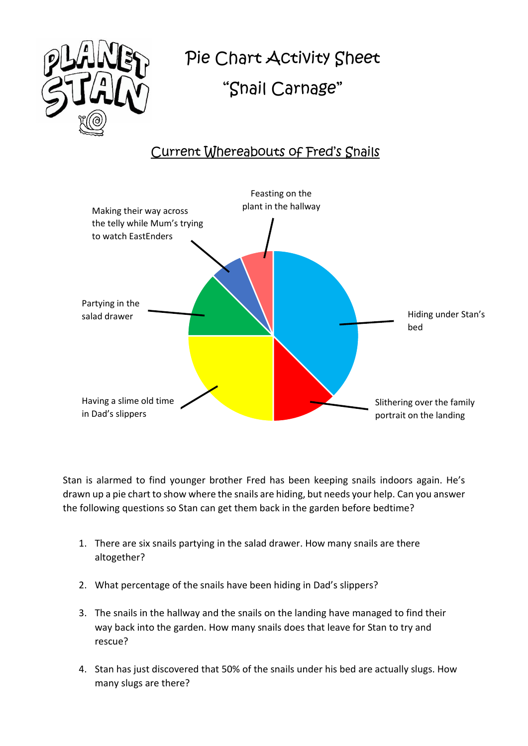

## Pie Chart Activity Shee Pie Chart Activity Sheet

## "Snail Carnage" "Snail Carnage"

## Current Whereabouts of Fred's Snails



Stan is alarmed to find younger brother Fred has been keeping snails indoors again. He's drawn up a pie chart to show where the snails are hiding, but needs your help. Can you answer the following questions so Stan can get them back in the garden before bedtime?

- 1. There are six snails partying in the salad drawer. How many snails are there altogether?
- 2. What percentage of the snails have been hiding in Dad's slippers?
- 3. The snails in the hallway and the snails on the landing have managed to find their way back into the garden. How many snails does that leave for Stan to try and rescue?
- 4. Stan has just discovered that 50% of the snails under his bed are actually slugs. How many slugs are there?